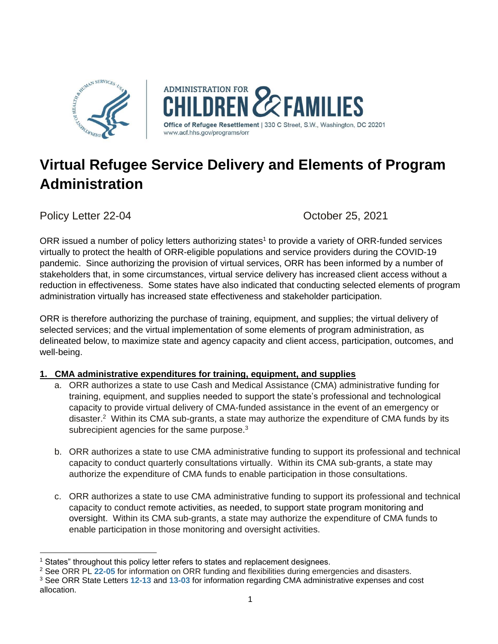

# **Virtual Refugee Service Delivery and Elements of Program Administration**

Policy Letter 22-04 **Details** Corrected by Corrected Corrected and October 25, 2021

ORR issued a number of policy letters authorizing states<sup>1</sup> to provide a variety of ORR-funded services virtually to protect the health of ORR-eligible populations and service providers during the COVID-19 pandemic. Since authorizing the provision of virtual services, ORR has been informed by a number of stakeholders that, in some circumstances, virtual service delivery has increased client access without a reduction in effectiveness. Some states have also indicated that conducting selected elements of program administration virtually has increased state effectiveness and stakeholder participation.

ORR is therefore authorizing the purchase of training, equipment, and supplies; the virtual delivery of selected services; and the virtual implementation of some elements of program administration, as delineated below, to maximize state and agency capacity and client access, participation, outcomes, and well-being.

## **1. CMA administrative expenditures for training, equipment, and supplies**

- a. ORR authorizes a state to use Cash and Medical Assistance (CMA) administrative funding for training, equipment, and supplies needed to support the state's professional and technological capacity to provide virtual delivery of CMA-funded assistance in the event of an emergency or disaster.<sup>2</sup> Within its CMA sub-grants, a state may authorize the expenditure of CMA funds by its subrecipient agencies for the same purpose. $3$
- b. ORR authorizes a state to use CMA administrative funding to support its professional and technical capacity to conduct quarterly consultations virtually. Within its CMA sub-grants, a state may authorize the expenditure of CMA funds to enable participation in those consultations.
- c. ORR authorizes a state to use CMA administrative funding to support its professional and technical capacity to conduct remote activities, as needed, to support state program monitoring and oversight. Within its CMA sub-grants, a state may authorize the expenditure of CMA funds to enable participation in those monitoring and oversight activities.

<sup>&</sup>lt;sup>1</sup> States" throughout this policy letter refers to states and replacement designees.

<sup>2</sup> See ORR PL **[22-05](https://www.acf.hhs.gov/sites/default/files/documents/orr/orr-pl-22-05-orr-funds-and-flexibilities-during-emergencies-and-disasters.pdf)** for information on ORR funding and flexibilities during emergencies and disasters.

<sup>3</sup> See ORR State Letters **[12-13](https://www.acf.hhs.gov/orr/resource/state-letter-12-13)** and **[13-03](https://www.acf.hhs.gov/orr/policy-guidance/state-letter-13-03)** for information regarding CMA administrative expenses and cost allocation.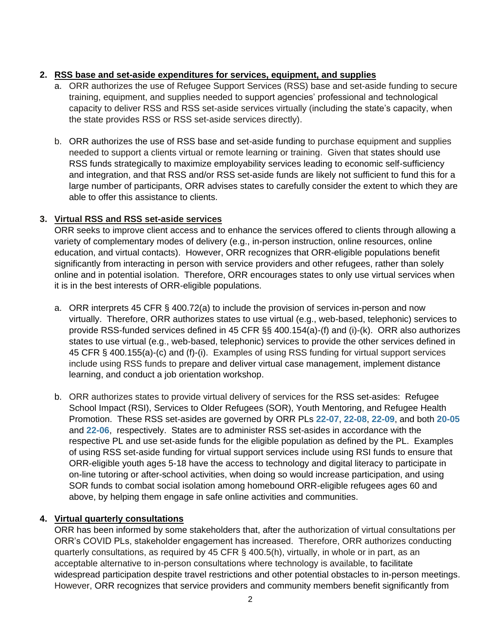#### **2. RSS base and set-aside expenditures for services, equipment, and supplies**

- a. ORR authorizes the use of Refugee Support Services (RSS) base and set-aside funding to secure training, equipment, and supplies needed to support agencies' professional and technological capacity to deliver RSS and RSS set-aside services virtually (including the state's capacity, when the state provides RSS or RSS set-aside services directly).
- b. ORR authorizes the use of RSS base and set-aside funding to purchase equipment and supplies needed to support a clients virtual or remote learning or training. Given that states should use RSS funds strategically to maximize employability services leading to economic self-sufficiency and integration, and that RSS and/or RSS set-aside funds are likely not sufficient to fund this for a large number of participants, ORR advises states to carefully consider the extent to which they are able to offer this assistance to clients.

### **3. Virtual RSS and RSS set-aside services**

ORR seeks to improve client access and to enhance the services offered to clients through allowing a variety of complementary modes of delivery (e.g., in-person instruction, online resources, online education, and virtual contacts). However, ORR recognizes that ORR-eligible populations benefit significantly from interacting in person with service providers and other refugees, rather than solely online and in potential isolation. Therefore, ORR encourages states to only use virtual services when it is in the best interests of ORR-eligible populations.

- a. ORR interprets 45 CFR § 400.72(a) to include the provision of services in-person and now virtually. Therefore, ORR authorizes states to use virtual (e.g., web-based, telephonic) services to provide RSS-funded services defined in 45 CFR §§ 400.154(a)-(f) and (i)-(k). ORR also authorizes states to use virtual (e.g., web-based, telephonic) services to provide the other services defined in 45 CFR § 400.155(a)-(c) and (f)-(i). Examples of using RSS funding for virtual support services include using RSS funds to prepare and deliver virtual case management, implement distance learning, and conduct a job orientation workshop.
- b. ORR authorizes states to provide virtual delivery of services for the RSS set-asides: Refugee School Impact (RSI), Services to Older Refugees (SOR), Youth Mentoring, and Refugee Health Promotion. These RSS set-asides are governed by ORR PLs **[22-07](https://www.acf.hhs.gov/sites/default/files/documents/orr/orr-pl-22-07-refugee-school-impact-program.pdf)**, **[22-08](https://www.acf.hhs.gov/sites/default/files/documents/orr/orr-pl-22-08-services-to-older-refugees-program.pdf)**, **[22-09](https://www.acf.hhs.gov/sites/default/files/documents/orr/orr-pl-22-09-youth-mentoring-program.pdf)**, and both **[20-05](https://www.acf.hhs.gov/sites/default/files/orr/pl_20_05_rhp_transitions_to_rss6_1.pdf)** and **[22-06](https://www.acf.hhs.gov/sites/default/files/documents/orr/orr-pl-22-06-refugee-mental-health-initiative-within-the-refugee-health-promotion-program.pdf)**, respectively. States are to administer RSS set-asides in accordance with the respective PL and use set-aside funds for the eligible population as defined by the PL. Examples of using RSS set-aside funding for virtual support services include using RSI funds to ensure that ORR-eligible youth ages 5-18 have the access to technology and digital literacy to participate in on-line tutoring or after-school activities, when doing so would increase participation, and using SOR funds to combat social isolation among homebound ORR-eligible refugees ages 60 and above, by helping them engage in safe online activities and communities.

## **4. Virtual quarterly consultations**

ORR has been informed by some stakeholders that, after the authorization of virtual consultations per ORR's COVID PLs, stakeholder engagement has increased. Therefore, ORR authorizes conducting quarterly consultations, as required by 45 CFR § 400.5(h), virtually, in whole or in part, as an acceptable alternative to in-person consultations where technology is available, to facilitate widespread participation despite travel restrictions and other potential obstacles to in-person meetings. However, ORR recognizes that service providers and community members benefit significantly from